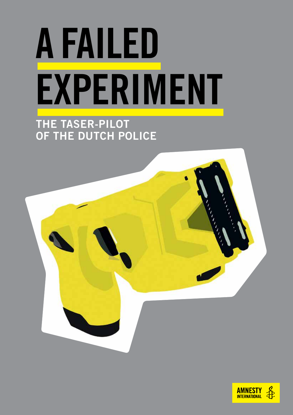# A FAILED EXPERIMENT

## THE TASER-PILOT of the Dutch Police



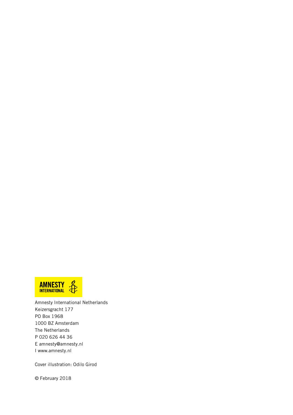

Amnesty International Netherlands Keizersgracht 177 PO Box 1968 1000 BZ Amsterdam The Netherlands P 020 626 44 36 E amnesty@amnesty.nl I www.amnesty.nl

Cover illustration: Odilo Girod

© February 2018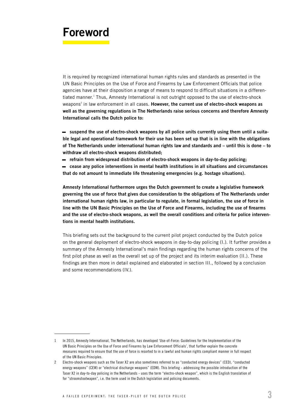## Foreword

It is required by recognized international human rights rules and standards as presented in the UN Basic Principles on the Use of Force and Firearms by Law Enforcement Officials that police agencies have at their disposition a range of means to respond to difficult situations in a differentiated manner.<sup>1</sup> Thus, Amnesty International is not outright opposed to the use of electro-shock weapons<sup>2</sup> in law enforcement in all cases. However, the current use of electro-shock weapons as well as the governing regulations in The Netherlands raise serious concerns and therefore Amnesty International calls the Dutch police to:

– suspend the use of electro-shock weapons by all police units currently using them until a suitable legal and operational framework for their use has been set up that is in line with the obligations of The Netherlands under international human rights law and standards and – until this is done – to withdraw all electro-shock weapons distributed;

– refrain from widespread distribution of electro-shock weapons in day-to-day policing;

– cease any police interventions in mental health institutions in all situations and circumstances that do not amount to immediate life threatening emergencies (e.g. hostage situations).

Amnesty International furthermore urges the Dutch government to create a legislative framework governing the use of force that gives due consideration to the obligations of The Netherlands under international human rights law, in particular to regulate, in formal legislation, the use of force in line with the UN Basic Principles on the Use of Force and Firearms, including the use of firearms and the use of electro-shock weapons, as well the overall conditions and criteria for police interventions in mental health institutions.

This briefing sets out the background to the current pilot project conducted by the Dutch police on the general deployment of electro-shock weapons in day-to-day policing (I.). It further provides a summary of the Amnesty International's main findings regarding the human rights concerns of the first pilot phase as well as the overall set up of the project and its interim evaluation (II.). These findings are then more in detail explained and elaborated in section III., followed by a conclusion and some recommendations (IV.).

<sup>1</sup> In 2015, Amnesty International, The Netherlands, has developed 'Use-of-Force: Guidelines for the Implementation of the UN Basic Principles on the Use of Force and Firearms by Law Enforcement Officials', that further explain the concrete measures required to ensure that the use of force is resorted to in a lawful and human rights compliant manner in full respect of the UN Basic Principles.

<sup>2</sup> Electro-shock weapons such as the Taser X2 are also sometimes referred to as "conducted energy devices" (CED), "conducted energy weapons" (CEW) or "electrical discharge weapons" (EDW). This briefing - addressing the possible introduction of the Taser X2 in day-to-day policing in the Netherlands - uses the term "electro-shock weapon", which is the English translation of for "stroomstootwapen", i.e. the term used in the Dutch legislation and policing documents.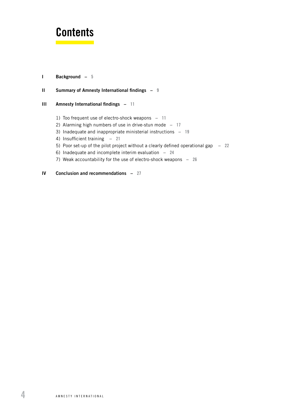## **Contents**

#### [I Background –](#page-4-0) 5

#### II [Summary of Amnesty International findings –](#page-8-0) 9

#### III [Amnesty International findings –](#page-10-0) 11

- 1) [Too frequent use of electro-shock weapons](#page-10-0) 11
- 2) Alarming high numbers of use in drive-stun mode  $-17$
- 3) [Inadequate and inappropriate ministerial instructions](#page-18-0) 19
- 4) [Insufficient training](#page-20-0) 21
- 5) [Poor set-up of the pilot project without a clearly defined operational gap](#page-21-0) 22
- 6) [Inadequate and incomplete interim evaluation](#page-23-0) 24
- 7) [Weak accountability for the use of electro-shock weapons](#page-25-0) 26
- [IV Conclusion and recommendations](#page-26-0) 27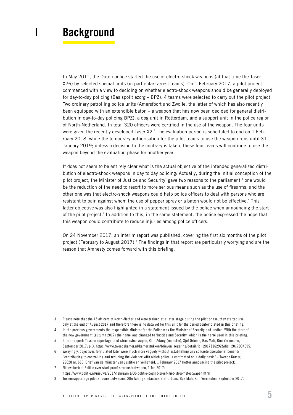## <span id="page-4-0"></span>I Background

In May 2011, the Dutch police started the use of electro-shock weapons (at that time the Taser X26) by selected special units (in particular: arrest teams). On 1 February 2017, a pilot project commenced with a view to deciding on whether electro-shock weapons should be generally deployed for day-to-day policing (Basispolitiezorg – BPZ). 4 teams were selected to carry out the pilot project: Two ordinary patrolling police units (Amersfoort and Zwolle, the latter of which has also recently been equipped with an extendible baton – a weapon that has now been decided for general distribution in day-to-day policing BPZ), a dog unit in Rotterdam, and a support unit in the police region of North-Netherland. In total 320 officers were certified in the use of the weapon. The four units were given the recently developed Taser  $X2.^3$  The evaluation period is scheduled to end on 1 February 2018, while the temporary authorisation for the pilot teams to use the weapon runs until 31 January 2019; unless a decision to the contrary is taken, these four teams will continue to use the weapon beyond the evaluation phase for another year.

It does not seem to be entirely clear what is the actual objective of the intended generalized distribution of electro-shock weapons in day to day policing: Actually, during the initial conception of the pilot project, the Minister of Justice and Security<sup>4</sup> gave two reasons to the parliament:<sup>5</sup> one would be the reduction of the need to resort to more serious means such as the use of firearms; and the other one was that electro-shock weapons could help police officers to deal with persons who are resistant to pain against whom the use of pepper spray or a baton would not be effective.<sup>6</sup> This latter objective was also highlighted in a statement issued by the police when announcing the start of the pilot project.<sup>7</sup> In addition to this, in the same statement, the police expressed the hope that this weapon could contribute to reduce injuries among police officers.

On 24 November 2017, an interim report was published, covering the first six months of the pilot project (February to August 2017).<sup>8</sup> The findings in that report are particularly worrying and are the reason that Amnesty comes forward with this briefing.

<sup>3</sup> Please note that the 45 officers of North-Netherland were trained at a later stage during the pilot phase, they started use only at the end of August 2017 and therefore there is no data yet for this unit for the period contemplated in this briefing.

<sup>4</sup> In the previous governments the responsible Minister for the Police was the Minister of Security and Justice. With the start of the new government (autumn 2017) the name was changed to 'Justice and Security' which is the name used in this briefing.

<sup>5</sup> Interim report: Tussenrapportage pilot stroomstootwapen, Otto Adang (redactie), Sjef Orbons, Bas Mali, Kim Vermeulen, September 2017; p. 3. https://www.tweedekamer.nl/kamerstukken/brieven\_regering/detail?id=2017Z16292&did=2017D34095.

Worryingly, objectives formulated later were much more vaguely without establishing any concrete operational benefit: "contributing to controlling and reducing the violence with which police is confronted on a daily basis" - Tweede Kamer, 29628 nr. 686, Brief van de minister van Justitie en Veiligheid, 1 February 2017 (letter announcing the pilot project).

<sup>7</sup> Nieuwsbericht Politie over start proef stroomstootwapen, 1 feb 2017:

https://www.politie.nl/nieuws/2017/februari/1/00-politie-begint-proef-met-stroomstootwapen.html

<sup>8</sup> Tussenrapportage pilot stroomstootwapen, Otto Adang (redactie), Sjef Orbons, Bas Mali, Kim Vermeulen, September 2017.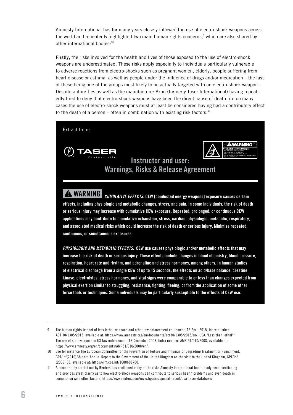Amnesty International has for many years closely followed the use of electro-shock weapons across the world and repeatedly highlighted two main human rights concerns,<sup>9</sup> which are also shared by other international bodies:<sup>10</sup>

Firstly, the risks involved for the health and lives of those exposed to the use of electro-shock weapons are underestimated. These risks apply especially to individuals particularly vulnerable to adverse reactions from electro-shocks such as pregnant women, elderly, people suffering from heart disease or asthma, as well as people under the influence of drugs and/or medication – the last of these being one of the groups most likely to be actually targeted with an electro-shock weapon. Despite authorities as well as the manufacturer Axon (formerly Taser International) having repeatedly tried to deny that electro-shock weapons have been the direct cause of death, in too many cases the use of electro-shock weapons must at least be considered having had a contributory effect to the death of a person – often in combination with existing risk factors.<sup>11</sup>



*PHYSIOLOGIC AND METABOLIC EFFECTS.* CEW use causes physiologic and/or metabolic effects that may increase the risk of death or serious injury. These effects include changes in blood chemistry, blood pressure, respiration, heart rate and rhythm, and adrenaline and stress hormones, among others. In human studies of electrical discharge from a single CEW of up to 15 seconds, the effects on acid/base balance, creatine kinase, electrolytes, stress hormones, and vital signs were comparable to or less than changes expected from physical exertion similar to struggling, resistance, fighting, fleeing, or from the application of some other force tools or techniques. Some individuals may be particularly susceptible to the effects of CEW use.

continuous, or simultaneous exposures.

<sup>9</sup> The human rights impact of less lethal weapons and other law enforcement equipment, 13 April 2015, Index number: ACT 30/1305/2015, available at: <https://www.amnesty.org/en/documents/act30/1305/2015/en/>; USA: 'Less than lethal'? The use of stun weapons in US law enforcement, 16 December 2008, Index number: AMR 51/010/2008, available at: https://www.amnesty.org/en/documents/AMR51/010/2008/en/.

<sup>10</sup> See for instance The European Committee for the Prevention of Torture and Inhuman or Degrading Treatment or Punishment, CPT/Inf(2010)28-part. And in: Report to the Government of the United Kingdom on the visit to the United Kingdom, CPT/Inf (2009) 30, available at: https://rm.coe.int/1680698700.

<sup>11</sup> A recent study carried out by Reuters has confirmed many of the risks Amnesty International had already been mentioning and provides great clarity as to how electro-shock weapons can contribute to serious health problems and even death in conjunction with other factors, https://www.reuters.com/investigates/special-report/usa-taser-database/.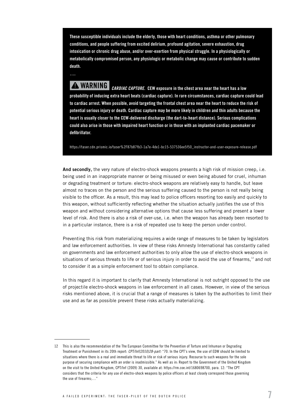These susceptible individuals include the elderly, those with heart conditions, asthma or other pulmonary conditions, and people suffering from excited delirium, profound agitation, severe exhaustion, drug intoxication or chronic drug abuse, and/or over-exertion from physical struggle. In a physiologically or metabolically compromised person, any physiologic or metabolic change may cause or contribute to sudden death.

! WARNING *CARDIAC CAPTURE*. CEW exposure in the chest area near the heart has a low probability of inducing extra heart beats (cardiac capture). In rare circumstances, cardiac capture could lead to cardiac arrest. When possible, avoid targeting the frontal chest area near the heart to reduce the risk of potential serious injury or death. Cardiac capture may be more likely in children and thin adults because the heart is usually closer to the CEW-delivered discharge (the dart-to-heart distance). Serious complications could also arise in those with impaired heart function or in those with an implanted cardiac pacemaker or defibrillator.

[https://taser.cdn.prismic.io/taser%2F87b87fb3-1a7e-4de1-bc15-537536ee5f50\\_instructor-and-user-exposure-release.pdf](https://taser.cdn.prismic.io/taser%2F87b87fb3-1a7e-4de1-bc15-537536ee5f50_instructor-and-user-exposure-release.pdf)

And secondly, the very nature of electro-shock weapons presents a high risk of mission creep, i.e. being used in an inappropriate manner or being misused or even being abused for cruel, inhuman or degrading treatment or torture: electro-shock weapons are relatively easy to handle, but leave almost no traces on the person and the serious suffering caused to the person is not really being visible to the officer. As a result, this may lead to police officers resorting too easily and quickly to this weapon, without sufficiently reflecting whether the situation actually justifies the use of this weapon and without considering alternative options that cause less suffering and present a lower level of risk. And there is also a risk of over-use, i.e. when the weapon has already been resorted to in a particular instance, there is a risk of repeated use to keep the person under control.

Preventing this risk from materializing requires a wide range of measures to be taken by legislators and law enforcement authorities. In view of these risks Amnesty International has constantly called on governments and law enforcement authorities to only allow the use of electro-shock weapons in situations of serious threats to life or of serious injury in order to avoid the use of firearms,<sup>12</sup> and not to consider it as a simple enforcement tool to obtain compliance.

In this regard it is important to clarify that Amnesty International is not outright opposed to the use of projectile electro-shock weapons in law enforcement in all cases. However, in view of the serious risks mentioned above, it is crucial that a range of measures is taken by the authorities to limit their use and as far as possible prevent these risks actually materializing.

<sup>12</sup> This is also the recommendation of the The European Committee for the Prevention of Torture and Inhuman or Degrading Treatment or Punishment in its 20th report: *CPT/Inf(2010)28-part:* "70. In the CPT's view, the use of EDW should be limited to situations where there is a real and immediate threat to life or risk of serious injury. Recourse to such weapons for the sole purpose of securing compliance with an order is inadmissible." As well as in: Report to the Government of the United Kingdom on the visit to the United Kingdom, CPT/Inf (2009) 30, available at: https://rm.coe.int/1680698700, para. 12: "The CPT considers that the criteria for any use of electro-shock weapons by police officers at least closely correspond those governing the use of firearms: "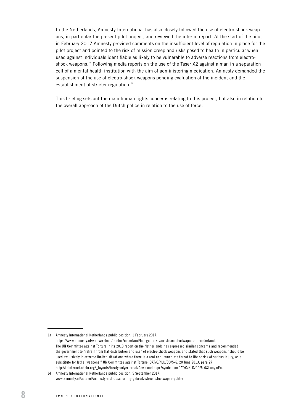In the Netherlands, Amnesty International has also closely followed the use of electro-shock weapons, in particular the present pilot project, and reviewed the interim report. At the start of the pilot in February 2017 Amnesty provided comments on the insufficient level of regulation in place for the pilot project and pointed to the risk of mission creep and risks posed to health in particular when used against individuals identifiable as likely to be vulnerable to adverse reactions from electroshock weapons.<sup>13</sup> Following media reports on the use of the Taser X2 against a man in a separation cell of a mental health institution with the aim of administering medication, Amnesty demanded the suspension of the use of electro-shock weapons pending evaluation of the incident and the establishment of stricter regulation.<sup>14</sup>

This briefing sets out the main human rights concerns relating to this project, but also in relation to the overall approach of the Dutch police in relation to the use of force.

<sup>13</sup> Amnesty International Netherlands public position, 1 February 2017: https://www.amnesty.nl/wat-we-doen/landen/nederland/het-gebruik-van-stroomstootwapens-in-nederland. The UN Committee against Torture in its 2013 report on the Netherlands has expressed similar concerns and recommended the government to "refrain from flat distribution and use" of electro-shock weapons and stated that such weapons "should be used exclusively in extreme limited situations where there is a real and immediate threat to life or risk of serious injury, as a substitute for lethal weapons." UN Committee against Torture, CAT/C/NLD/CO/5-6, 20 June 2013, para 27; http://tbinternet.ohchr.org/\_layouts/treatybodyexternal/Download.aspx?symbolno=CAT/C/NLD/CO/5-6&Lang=En.

<sup>14</sup> Amnesty International Netherlands public position, 5 September 2017: www.amnesty.nl/actueel/amnesty-eist-opschorting-gebruik-stroomstootwapen-politie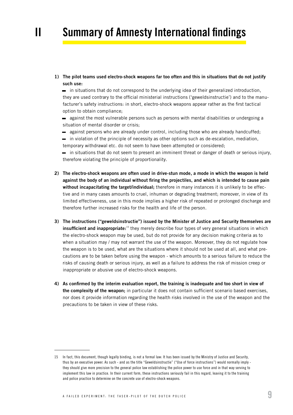## <span id="page-8-0"></span>II Summary of Amnesty International findings

1) The pilot teams used electro-shock weapons far too often and this in situations that do not justify such use:

– in situations that do not correspond to the underlying idea of their generalized introduction, they are used contrary to the official ministerial instructions ('geweldsinstructie') and to the manufacturer's safety instructions: in short, electro-shock weapons appear rather as the first tactical option to obtain compliance;

- against the most vulnerable persons such as persons with mental disabilities or undergoing a situation of mental disorder or crisis;
- against persons who are already under control, including those who are already handcuffed;
- in violation of the principle of necessity as other options such as de-escalation, mediation,
- temporary withdrawal etc. do not seem to have been attempted or considered;
- in situations that do not seem to present an imminent threat or danger of death or serious injury, therefore violating the principle of proportionality.
- 2) The electro-shock weapons are often used in drive-stun mode, a mode in which the weapon is held against the body of an individual without firing the projectiles, and which is intended to cause pain without incapacitating the target/individual; therefore in many instances it is unlikely to be effective and in many cases amounts to cruel, inhuman or degrading treatment; moreover, in view of its limited effectiveness, use in this mode implies a higher risk of repeated or prolonged discharge and therefore further increased risks for the health and life of the person.
- 3) The instructions ("geweldsinstructie") issued by the Minister of Justice and Security themselves are insufficient and inappropriate:<sup>15</sup> they merely describe four types of very general situations in which the electro-shock weapon may be used, but do not provide for any decision making criteria as to when a situation may / may not warrant the use of the weapon. Moreover, they do not regulate how the weapon is to be used, what are the situations where it should not be used at all, and what precautions are to be taken before using the weapon - which amounts to a serious failure to reduce the risks of causing death or serious injury, as well as a failure to address the risk of mission creep or inappropriate or abusive use of electro-shock weapons.
- 4) As confirmed by the interim evaluation report, the training is inadequate and too short in view of the complexity of the weapon; in particular it does not contain sufficient scenario based exercises, nor does it provide information regarding the health risks involved in the use of the weapon and the precautions to be taken in view of these risks.

<sup>15</sup> In fact, this document, though legally binding, is not a formal law: It has been issued by the Ministry of Justice and Security, thus by an executive power. As such - and as the title "Geweldsinstructie" ("Use of force instructions") would normally imply they should give more precision to the general police law establishing the police power to use force and in that way serving to implement this law in practice. In their current form, these instructions seriously fail in this regard, leaving it to the training and police practice to determine on the concrete use of electro-shock weapons.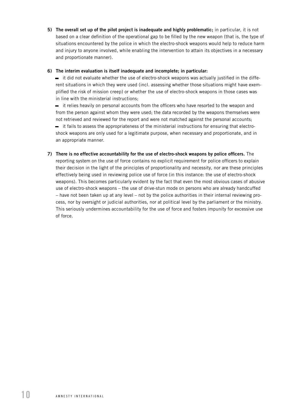5) The overall set up of the pilot project is inadequate and highly problematic; in particular, it is not based on a clear definition of the operational gap to be filled by the new weapon (that is, the type of situations encountered by the police in which the electro-shock weapons would help to reduce harm and injury to anyone involved, while enabling the intervention to attain its objectives in a necessary and proportionate manner).

#### 6) The interim evaluation is itself inadequate and incomplete; in particular:

– it did not evaluate whether the use of electro-shock weapons was actually justified in the different situations in which they were used (incl. assessing whether those situations might have exemplified the risk of mission creep) or whether the use of electro-shock weapons in those cases was in line with the ministerial instructions;

– it relies heavily on personal accounts from the officers who have resorted to the weapon and from the person against whom they were used; the data recorded by the weapons themselves were not retrieved and reviewed for the report and were not matched against the personal accounts; – it fails to assess the appropriateness of the ministerial instructions for ensuring that electroshock weapons are only used for a legitimate purpose, when necessary and proportionate, and in

an appropriate manner.

7) There is no effective accountability for the use of electro-shock weapons by police officers. The reporting system on the use of force contains no explicit requirement for police officers to explain their decision in the light of the principles of proportionality and necessity, nor are these principles effectively being used in reviewing police use of force (in this instance: the use of electro-shock weapons). This becomes particularly evident by the fact that even the most obvious cases of abusive use of electro-shock weapons – the use of drive-stun mode on persons who are already handcuffed – have not been taken up at any level – not by the police authorities in their internal reviewing process, nor by oversight or judicial authorities, nor at political level by the parliament or the ministry. This seriously undermines accountability for the use of force and fosters impunity for excessive use of force.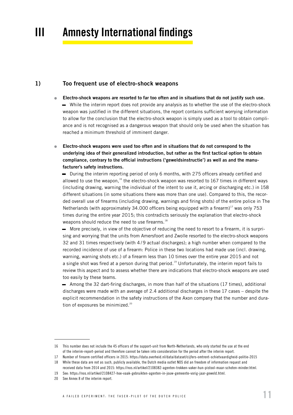## <span id="page-10-0"></span>III Amnesty International findings

#### 1) Too frequent use of electro-shock weapons

- Electro-shock weapons are resorted to far too often and in situations that do not justify such use. – While the interim report does not provide any analysis as to whether the use of the electro-shock weapon was justified in the different situations, the report contains sufficient worrying information to allow for the conclusion that the electro-shock weapon is simply used as a tool to obtain compliance and is not recognised as a dangerous weapon that should only be used when the situation has reached a minimum threshold of imminent danger.
- Electro-shock weapons were used too often and in situations that do not correspond to the underlying idea of their generalized introduction, but rather as the first tactical option to obtain compliance, contrary to the official instructions ('geweldsinstructie') as well as and the manufacturer's safety instructions.

– During the interim reporting period of only 6 months, with 275 officers already certified and allowed to use the weapon,<sup>16</sup> the electro-shock weapon was resorted to 167 times in different ways (including drawing, warning the individual of the intent to use it, arcing or discharging etc.) in 158 different situations (in some situations there was more than one use). Compared to this, the recorded overall use of firearms (including drawing, warnings and firing shots) of the entire police in The Netherlands (with approximately 34.000 officers being equipped with a firearm)<sup>17</sup> was only 753 times during the entire year 2015; this contradicts seriously the explanation that electro-shock weapons should reduce the need to use firearms.<sup>18</sup>

– More precisely, in view of the objective of reducing the need to resort to a firearm, it is surprising and worrying that the units from Amersfoort and Zwolle resorted to the electro-shock weapons 32 and 31 times respectively (with 4 / 9 actual discharges); a high number when compared to the recorded incidence of use of a firearm: Police in these two locations had made use (incl. drawing, warning, warning shots etc.) of a firearm less than 10 times over the entire year 2015 and not a single shot was fired at a person during that period.<sup>19</sup> Unfortunately, the interim report fails to review this aspect and to assess whether there are indications that electro-shock weapons are used too easily by these teams.

– Among the 32 dart-firing discharges, in more than half of the situations (17 times), additional discharges were made with an average of 2.4 additional discharges in these 17 cases – despite the explicit recommendation in the safety instructions of the Axon company that the number and duration of exposures be minimized.<sup>20</sup>

<sup>16</sup> This number does not include the 45 officers of the support-unit from North-Netherlands, who only started the use at the end of the interim-report-period and therefore cannot be taken into consideration for the period after the interim report.

<sup>17</sup> Number of firearm certified officers in 2015: https://data.overheid.nl/data/dataset/cijfers-omtrent-schietvaardigheid-politie-2015

<sup>18</sup> While these data are not as such, publicly available, the Dutch media outlet NOS did an freedom of information request and received data from 2014 and 2015: https://nos.nl/artikel/2108382-agenten-trokken-vaker-hun-pistool-maar-schoten-minder.html.

<sup>19</sup> See: https://nos.nl/artikel/2108427-hoe-vaak-gebruikten-agenten-in-jouw-gemeente-vorig-jaar-geweld.html.

<sup>20</sup> See Annex 8 of the interim report.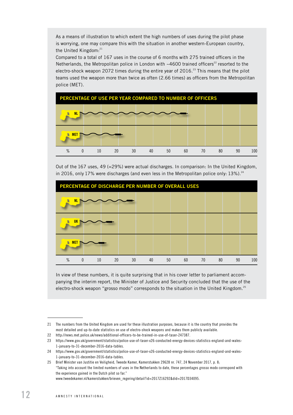As a means of illustration to which extent the high numbers of uses during the pilot phase is worrying, one may compare this with the situation in another western-European country, the United Kingdom: $21$ 

Compared to a total of 167 uses in the course of 6 months with 275 trained officers in the Netherlands, the Metropolitan police in London with  $~4600$  trained officers<sup>22</sup> resorted to the electro-shock weapon 2072 times during the entire year of  $2016.<sup>23</sup>$  This means that the pilot teams used the weapon more than twice as often (2.66 times) as officers from the Metropolitan police (MET).



Out of the 167 uses, 49 (=29%) were actual discharges. In comparison: In the United Kingdom, in 2016, only 17% were discharges (and even less in the Metropolitan police only:  $13\%$ ).<sup>24</sup>



In view of these numbers, it is quite surprising that in his cover letter to parliament accompanying the interim report, the Minister of Justice and Security concluded that the use of the electro-shock weapon "grosso modo" corresponds to the situation in the United Kingdom.<sup>25</sup>

<sup>21</sup> The numbers from the United Kingdom are used for these illustration purposes, because it is the country that provides the most detailed and up-to-date statistics on use of electro-shock weapons and makes them publicly available.

<sup>22</sup> http://news.met.police.uk/news/additional-officers-to-be-trained-in-use-of-taser-247387.

<sup>23</sup> [https://www.gov.uk/government/statistics/police-use-of-taser-x26-conducted-energy-devices-statistics-england-and-wales-](https://www.gov.uk/government/statistics/police-use-of-taser-x26-conducted-energy-devices-statistics-england-and-wales-1-january-to-31-december-2016-data-tables)[1-january-to-31-december-2016-data-tables.](https://www.gov.uk/government/statistics/police-use-of-taser-x26-conducted-energy-devices-statistics-england-and-wales-1-january-to-31-december-2016-data-tables)

<sup>24</sup> [https://www.gov.uk/government/statistics/police-use-of-taser-x26-conducted-energy-devices-statistics-england-and-wales-](https://www.gov.uk/government/statistics/police-use-of-taser-x26-conducted-energy-devices-statistics-england-and-wales-1-january-to-31-december-2016-data-tables)[1-january-to-31-december-2016-data-tables.](https://www.gov.uk/government/statistics/police-use-of-taser-x26-conducted-energy-devices-statistics-england-and-wales-1-january-to-31-december-2016-data-tables)

<sup>25</sup> Brief Minister van Justitie en Veiligheid, Tweede Kamer, Kamerstukken 29628 nr. 747, 24 November 2017, p. 8; "Taking into account the limited numbers of uses in the Netherlands to date, these percentages grosso modo correspond with the experience gained in the Dutch pilot so far." www.tweedekamer.nl/kamerstukken/brieven\_regering/detail?id=2017Z16292&did=2017D34095.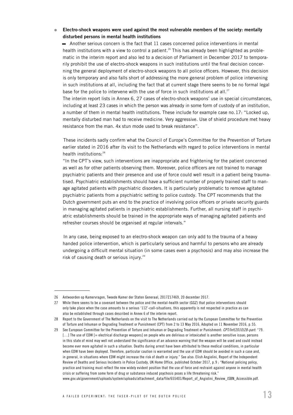#### • Electro-shock weapons were used against the most vulnerable members of the society: mentally disturbed persons in mental health institutions

– Another serious concern is the fact that 11 cases concerned police interventions in mental health institutions with a view to control a patient.<sup>26</sup> This has already been highlighted as problematic in the interim report and also led to a decision of Parliament in December 2017 to temporarily prohibit the use of electro-shock weapons in such institutions until the final decision concerning the general deployment of electro-shock weapons to all police officers. However, this decision is only temporary and also falls short of addressing the more general problem of police intervening in such institutions at all, including the fact that at current stage there seems to be no formal legal base for the police to intervene with the use of force in such institutions at all.<sup>27</sup>

The interim report lists in Annex 6, 27 cases of electro-shock weapons' use in special circumstances, including at least 23 cases in which the person was already in some form of custody of an institution, a number of them in mental health institutions. These include for example case no. 17: "Locked up, mentally disturbed man had to receive medicine. Very aggressive. Use of shield procedure met heavy resistance from the man. 4x stun mode used to break resistance".

These incidents sadly confirm what the Council of Europe's Committee for the Prevention of Torture earlier stated in 2016 after its visit to the Netherlands with regard to police interventions in mental health institutions:<sup>28</sup>

"In the CPT's view, such interventions are inappropriate and frightening for the patient concerned as well as for other patients observing them. Moreover, police officers are not trained to manage psychiatric patients and their presence and use of force could well result in a patient being traumatised. Psychiatric establishments should have a sufficient number of properly trained staff to manage agitated patients with psychiatric disorders. It is particularly problematic to remove agitated psychiatric patients from a psychiatric setting to police custody. The CPT recommends that the Dutch government puts an end to the practice of involving police officers or private security guards in managing agitated patients in psychiatric establishments. Further, all nursing staff in psychiatric establishments should be trained in the appropriate ways of managing agitated patients and refresher courses should be organised at regular intervals."

In any case, being exposed to an electro-shock weapon can only add to the trauma of a heavy handed police intervention, which is particularly serious and harmful to persons who are already undergoing a difficult mental situation (in some cases even a psychosis) and may also increase the risk of causing death or serious injury.<sup>29</sup>

<sup>26</sup> Antwoorden op Kamervragen, Tweede Kamer der Staten Generaal, 2017Z17469, 20 december 2017.

<sup>27</sup> While there seems to be a covenant between the police and the mental-health sector (GGZ) that police interventions should only take place when the case amounts to a serious '112'-call-situations, this apparently is not respected in practice as can also be established through cases described in Annex 6 of the interim report.

<sup>28</sup> Report to the Government of The Netherlands on the visit to The Netherlands carried out by the European Committee for the Prevention of Torture and Inhuman or Degrading Treatment or Punishment (CPT) from 2 to 13 May 2016, Adopted on 11 November 2016, p. 55.

<sup>29</sup> See European Committee for the Prevention of Torture and Inhuman or Degrading Treatment or Punishment: *CPT/Inf(2010)28-part*: "79. [...] The use of EDW [= electrical discharge weapons] on people who are delirious or intoxicated is another sensitive issue; persons in this state of mind may well not understand the significance of an advance warning that the weapon will be used and could instead become ever more agitated in such a situation. Deaths during arrest have been attributed to these medical conditions, in particular when EDW have been deployed. Therefore, particular caution is warranted and the use of EDW should be avoided in such a case and, in general, in situations where EDW might increase the risk of death or injury." See also: Elish Angiolini, Report of the Independent Review of Deaths and Serious Incidents in Police Custody, UK Home Office, published October 2017, p. 9 ; "National policing policy, practice and training must reflect the now widely evident position that the use of force and restraint against anyone in mental health crisis or suffering from some form of drug or substance induced psychosis poses a life threatening risk." www.gov.uk/government/uploads/system/uploads/attachment\_data/file/655401/Report\_of\_Angiolini\_Review\_ISBN\_Accessible.pdf.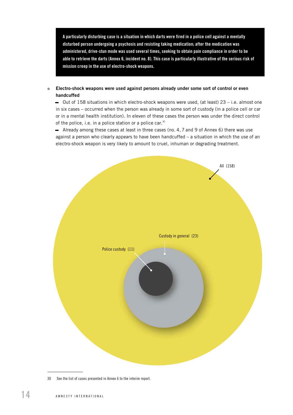A particularly disturbing case is a situation in which darts were fired in a police cell against a mentally disturbed person undergoing a psychosis and resisting taking medication; after the medication was administered, drive-stun mode was used several times, seeking to obtain pain compliance in order to be able to retrieve the darts (Annex 6, incident no. 8). This case is particularly illustrative of the serious risk of mission creep in the use of electro-shock weapons.

#### • Electro-shock weapons were used against persons already under some sort of control or even handcuffed

 $-$  Out of 158 situations in which electro-shock weapons were used, (at least) 23 – i.e. almost one in six cases – occurred when the person was already in some sort of custody (in a police cell or car or in a mental health institution). In eleven of these cases the person was under the direct control of the police, i.e. in a police station or a police car.<sup>30</sup>

– Already among these cases at least in three cases (no. 4, 7 and 9 of Annex 6) there was use against a person who clearly appears to have been handcuffed  $-$  a situation in which the use of an electro-shock weapon is very likely to amount to cruel, inhuman or degrading treatment.



<sup>30</sup> See the list of cases presented in Annex 6 to the interim report.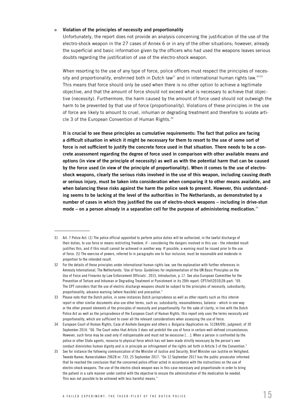#### • Violation of the principles of necessity and proportionality

Unfortunately, the report does not provide an analysis concerning the justification of the use of the electro-shock weapon in the 27 cases of Annex 6 or in any of the other situations; however, already the superficial and basic information given by the officers who had used the weapons leaves serious doubts regarding the justification of use of the electro-shock weapon.

When resorting to the use of any type of force, police officers must respect the principles of necessity and proportionality, enshrined both in Dutch law<sup>31</sup> and in international human rights law.<sup>32/33</sup> This means that force should only be used when there is no other option to achieve a legitimate objective, and that the amount of force should not exceed what is necessary to achieve that objective (necessity). Furthermore, the harm caused by the amount of force used should not outweigh the harm to be prevented by that use of force (proportionality). Violations of these principles in the use of force are likely to amount to cruel, inhuman or degrading treatment and therefore to violate article 3 of the European Convention of Human Rights.<sup>34</sup>

It is crucial to see these principles as cumulative requirements: The fact that police are facing a difficult situation in which it might be necessary for them to resort to the use of some sort of force is not sufficient to justify the concrete force used in that situation. There needs to be a concrete assessment regarding the degree of force used in comparison with other available means and options (in view of the principle of necessity) as well as with the potential harm that can be caused by the force used (in view of the principle of proportionality). When it comes to the use of electroshock weapons, clearly the serious risks involved in the use of this weapon, including causing death or serious injury, must be taken into consideration when comparing it to other means available, and when balancing these risks against the harm the police seek to prevent. However, this understanding seems to be lacking at the level of the authorities in The Netherlands, as demonstrated by a number of cases in which they justified the use of electro-shock weapons – including in drive-stun mode – on a person already in a separation cell for the purpose of administering medication.<sup>35</sup>

<sup>31</sup> Art. 7 Police Act: (1) The police official appointed to perform police duties will be authorized, in the lawful discharge of their duties, to use force or means restricting freedom, if - considering the dangers involved in this use - the intended result justifies this, and if this result cannot be achieved in another way. If possible, a warning must be issued prior to the use of force. (5) The exercise of powers, referred to in paragraphs one to four inclusive, must be reasonable and moderate in proportion to the intended result.

<sup>32</sup> For the details of these principles under international human rights law, see the explanation with further references in: Amnesty International, The Netherlands: 'Use of force: Guidelines for implementation of the UN Basic Principles on the Use of Force and Firearms by Law Enforcement Officials', 2015, Introduction, p. 17. See also European Committee for the Prevention of Torture and Inhuman or Degrading Treatment or Punishment in its 20th report: CPT/Inf(2010)28-part: "69. The CPT considers that the use of electric discharge weapons should be subject to the principles of necessity, subsidiarity, proportionality, advance warning (where feasible) and precaution."

<sup>33</sup> Please note that the Dutch police, in some instances Dutch jurisprudence as well as other reports such as this interim report or other similar documents also use other terms, such as: subsidiarity, reasonableness, balance - which in one way or the other present elements of the principles of necessity and proportionality. For the sake of clarity, in line with the Dutch Police Act as well as the jurisprudence of the European Court of Human Rights, this report only uses the terms necessity and proportionality, which are sufficient to cover all the relevant considerations when assessing the use of force.

<sup>34</sup> European Court of Human Rights, Case of Anzhelo Georgiev and others v. Bulgaria (Application no. 51284/09), judgment, of 30 September 2014: "66. The Court notes that Article 3 does not prohibit the use of force in certain well-defined circumstances. However, such force may be used only if indispensable and must not be excessive […]. When a person is confronted by the police or other State agents, recourse to physical force which has not been made strictly necessary by the person's own conduct diminishes human dignity and is in principle an infringement of the rights set forth in Article 3 of the Convention."

<sup>35</sup> See for instance the following communication of the Minister of Justice and Security, Brief Minister van Justitie en Veiligheid, Tweede Kamer, Kamerstukken 29628 nr. 733, 25 September 2017: "On 12 September 2017 has the public prosecutor informed that he reached the conclusion that the concerned police officer acted in accordance with the instructions on the use of electro-shock weapons. The use of the electro-shock weapon was in this case necessary and proportionate in order to bring the patient in a safe manner under control with the objective to ensure the administration of the medication he needed. This was not possible to be achieved with less harmful means."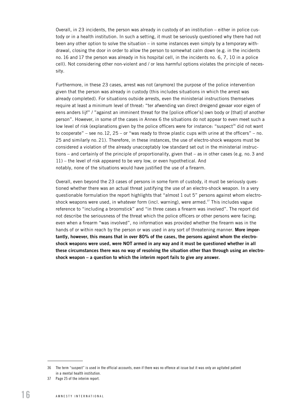Overall, in 23 incidents, the person was already in custody of an institution – either in police custody or in a health institution. In such a setting, it must be seriously questioned why there had not been any other option to solve the situation – in some instances even simply by a temporary withdrawal, closing the door in order to allow the person to somewhat calm down (e.g. in the incidents no. 16 and 17 the person was already in his hospital cell, in the incidents no. 6, 7, 10 in a police cell). Not considering other non-violent and / or less harmful options violates the principle of necessity.

Furthermore, in these 23 cases, arrest was not (anymore) the purpose of the police intervention given that the person was already in custody (this includes situations in which the arrest was already completed). For situations outside arrests, even the ministerial instructions themselves require at least a minimum level of threat: "ter afwending van direct dreigend gevaar voor eigen of eens anders lijf" / "against an imminent threat for the [police officer's] own body or [that] of another person". However, in some of the cases in Annex 6 the situations do not appear to even meet such a low level of risk (explanations given by the police officers were for instance: "suspect<sup>36</sup> did not want to cooperate" – see no. 12, 25 – or "was ready to throw plastic cups with urine at the officers" – no. 25 and similarly no. 21). Therefore, in these instances, the use of electro-shock weapons must be considered a violation of the already unacceptably low standard set out in the ministerial instructions – and certainly of the principle of proportionality, given that – as in other cases (e.g. no. 3 and 11) – the level of risk appeared to be very low, or even hypothetical. And notably, none of the situations would have justified the use of a firearm.

Overall, even beyond the 23 cases of persons in some form of custody, it must be seriously questioned whether there was an actual threat justifying the use of an electro-shock weapon. In a very questionable formulation the report highlights that "almost 1 out 5" persons against whom electroshock weapons were used, in whatever form (incl. warning), were armed.<sup>37</sup> This includes vague reference to "including a broomstick" and "in three cases a firearm was involved". The report did not describe the seriousness of the threat which the police officers or other persons were facing; even when a firearm "was involved", no information was provided whether the firearm was in the hands of or within reach by the person or was used in any sort of threatening manner. More importantly, however, this means that in over 80% of the cases, the persons against whom the electroshock weapons were used, were NOT armed in any way and it must be questioned whether in all these circumstances there was no way of resolving the situation other than through using an electroshock weapon – a question to which the interim report fails to give any answer.

<sup>36</sup> The term "suspect" is used in the official accounts, even if there was no offence at issue but it was only an agitated patient in a mental health institution.

<sup>37</sup> Page 25 of the interim report.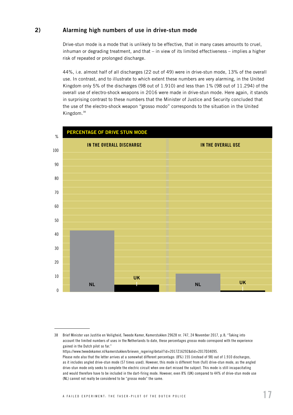#### <span id="page-16-0"></span>2) Alarming high numbers of use in drive-stun mode

Drive-stun mode is a mode that is unlikely to be effective, that in many cases amounts to cruel, inhuman or degrading treatment, and that – in view of its limited effectiveness – implies a higher risk of repeated or prolonged discharge.

44%, i.e. almost half of all discharges (22 out of 49) were in drive-stun mode, 13% of the overall use. In contrast, and to illustrate to which extent these numbers are very alarming, in the United Kingdom only 5% of the discharges (98 out of 1.910) and less than 1% (98 out of 11.294) of the overall use of electro-shock weapons in 2016 were made in drive-stun mode. Here again, it stands in surprising contrast to these numbers that the Minister of Justice and Security concluded that the use of the electro-shock weapon "grosso modo" corresponds to the situation in the United Kingdom.<sup>38</sup>



https://www.tweedekamer.nl/kamerstukken/brieven\_regering/detail?id=2017Z16292&did=2017D34095.

<sup>38</sup> Brief Minister van Justitie en Veiligheid, Tweede Kamer, Kamerstukken 29628 nr. 747, 24 November 2017, p. 8; "Taking into account the limited numbers of uses in the Netherlands to date, these percentages grosso modo correspond with the experience gained in the Dutch pilot so far."

Please note also that the letter arrives at a somewhat different percentage: (8%) 155 (instead of 98) out of 1.910 discharges, as it includes angled drive-stun mode (57 times used). However, this mode is different from (full) drive-stun mode, as the angled drive-stun mode only seeks to complete the electric circuit when one dart missed the subject. This mode is still incapacitating and would therefore have to be included in the dart-firing mode. However, even 8% (UK) compared to 44% of drive-stun mode use (NL) cannot not really be considered to be "grosso modo" the same.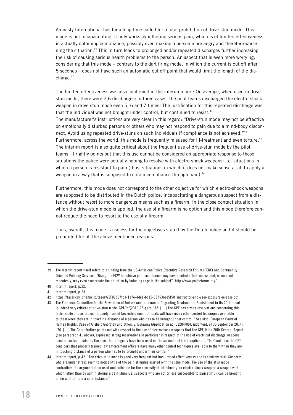Amnesty International has for a long time called for a total prohibition of drive-stun mode: This mode is not incapacitating, it only works by inflicting serious pain, which is of limited effectiveness in actually obtaining compliance, possibly even making a person more angry and therefore worsening the situation.<sup>39</sup> This in turn leads to prolonged and/or repeated discharges further increasing the risk of causing serious health problems to the person. An aspect that is even more worrying, considering that this mode – contrary to the dart firing mode, in which the current is cut off after 5 seconds – does not have such an automatic cut off point that would limit the length of the discharge.<sup>40</sup>

The limited effectiveness was also confirmed in the interim report: On average, when used in drivestun mode, there were 2,6 discharges; in three cases, the pilot teams discharged the electro-shock weapon in drive-stun mode even 5, 6 and 7 times! The justification for this repeated discharge was that the individual was not brought under control, but continued to resist. $41$ The manufacturer's instructions are very clear in this regard: "Drive-stun mode may not be effective on emotionally disturbed persons or others who may not respond to pain due to a mind-body disconnect. Avoid using repeated drive-stuns on such individuals if compliance is not achieved."<sup>42</sup> Furthermore, across the world, this mode is frequently misused for ill-treatment and even torture.<sup>43</sup> The interim report is also quite critical about the frequent use of drive-stun mode by the pilot teams. It rightly points out that this use cannot be considered an appropriate response to those situations the police were actually hoping to resolve with electro-shock weapons: i.e. situations in which a person is resistant to pain (thus, situations in which it does not make sense at all to apply a weapon in a way that is supposed to obtain compliance through pain).<sup>44</sup>

Furthermore, this mode does not correspond to the other objective for which electro-shock weapons are supposed to be distributed in the Dutch police: incapacitating a dangerous suspect from a distance without resort to more dangerous means such as a firearm. In the close contact situation in which the drive-stun mode is applied, the use of a firearm is no option and this mode therefore cannot reduce the need to resort to the use of a firearm.

Thus, overall, this mode is useless for the objectives stated by the Dutch police and it should be prohibited for all the above mentioned reasons.

<sup>39</sup> The interim report itself refers to a finding from the US-American Police Executive Research Forum (PERF) and Community Oriented Policing Services: "Using the ECW to achieve pain compliance may have limited effectiveness and, when used repeatedly, may even exacerbate the situation by inducing rage in the subject". [http://www.policeforum.org/](http://www.policeforum.org/assets/docs/Free_Online_Documents/Use_of_Force/electronic%20control%20weapon%20guidelines%202011.pdf).

<sup>40</sup> Interim report, p. 22.

<sup>41</sup> Interim report, p. 23.

<sup>42</sup> [https://taser.cdn.prismic.io/taser%2F87b87fb3-1a7e-4de1-bc15-537536ee5f50\\_instructor-and-user-exposure-release.pdf](https://taser.cdn.prismic.io/taser%2F87b87fb3-1a7e-4de1-bc15-537536ee5f50_instructor-and-user-exposure-release.pdf) .

<sup>43</sup> The European Committee for the Prevention of Torture and Inhuman or Degrading Treatment or Punishment in its 20th report is indeed very critical of drive-stun mode: CPT/Inf(2010)28-part: "78. […] The CPT has strong reservations concerning this latter mode of use. Indeed, properly trained law enforcement officials will have many other control techniques available to them when they are in touching distance of a person who has to be brought under control." See also: European Court of Human Rights, Case of Anzhelo Georgiev and others v. Bulgaria (Application no. 51284/09), judgment, of 30 September 2014: "76. […] The Court further points out with respect to the use of electroshock weapons that the CPT, it its 20th General Report (see paragraph 41 above), expressed strong reservations in particular in respect of the use of electrical discharge weapons used in contact mode, as the ones that allegedly have been used on the second and third applicants. The Court, like the CPT, considers that properly trained law enforcement officers have many other control techniques available to them when they are in touching distance of a person who has to be brought under their control."

<sup>44</sup> Interim report, p. 42: "The drive-stun mode is used very frequent but has limited effectiveness and is controversial. Suspects who are under stress seem to notice little of the pain stimulus exerted with the stun mode. The use of the stun mode contradicts the argumentation used and rationale for the necessity of introducing an electro-shock weapon: a weapon with which, other than by administering a pain stimulus, suspects who are not or less susceptible to pain stimuli can be brought under control from a safe distance."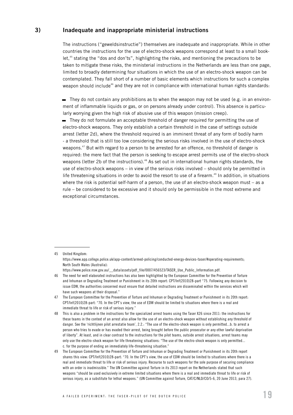#### <span id="page-18-0"></span>3) Inadequate and inappropriate ministerial instructions

The instructions ("geweldsinstructie") themselves are inadequate and inappropriate. While in other countries the instructions for the use of electro-shock weapons correspond at least to a small booklet,<sup>45</sup> stating the "dos and don'ts", highlighting the risks, and mentioning the precautions to be taken to mitigate these risks, the ministerial instructions in the Netherlands are less than one page, limited to broadly determining four situations in which the use of an electro-shock weapon can be contemplated. They fall short of a number of basic elements which instructions for such a complex weapon should include<sup>46</sup> and they are not in compliance with international human rights standards:

 $-$  They do not contain any prohibitions as to when the weapon may not be used (e.g. in an environment of inflammable liquids or gas, or on persons already under control). This absence is particularly worrying given the high risk of abusive use of this weapon (mission creep).

– They do not formulate an acceptable threshold of danger required for permitting the use of electro-shock weapons. They only establish a certain threshold in the case of settings outside arrest (letter 2d), where the threshold required is an imminent threat of any form of bodily harm - a threshold that is still too low considering the serious risks involved in the use of electro-shock weapons.<sup>47</sup> But with regard to a person to be arrested for an offence, no threshold of danger is required: the mere fact that the person is seeking to escape arrest permits use of the electro-shock weapons (letter 2b of the instructions).<sup>48</sup> As set out in international human rights standards, the use of electro-shock weapons – in view of the serious risks involved – should only be permitted in life threatening situations in order to avoid the resort to use of a firearm.<sup>49</sup> In addition, in situations where the risk is potential self-harm of a person, the use of an electro-shock weapon must – as a rule – be considered to be excessive and it should only be permissible in the most extreme and exceptional circumstances.

<sup>45</sup> United Kingdom: https://www.app.college.police.uk/app-content/armed-policing/conducted-energy-devices-taser/#operating-requirements; North South Wales (Australia): https://www.police.nsw.gov.au/\_\_data/assets/pdf\_file/0007/456523/TASER\_Use\_Public\_Information.pdf.

<sup>46</sup> The need for well elaborated instructions has also been highlighted by the European Committee for the Prevention of Torture and Inhuman or Degrading Treatment or Punishment in its 20th report: CPT/Inf(2010)28-part "75. Following any decision to issue EDW, the authorities concerned must ensure that detailed instructions are disseminated within the services which will have such weapons at their disposal."

<sup>47</sup> The European Committee for the Prevention of Torture and Inhuman or Degrading Treatment or Punishment in its 20th report: CPT/Inf(2010)28-part: "70. In the CPT's view, the use of EDW should be limited to situations where there is a real and immediate threat to life or risk of serious injury."

<sup>48</sup> This is also a problem in the instructions for the specialized arrest teams using the Taser X26 since 2011: the instructions for these teams in the context of an arrest also allow for the use of an electro-shock weapon without establishing any threshold of danger. See the 'richtlijnen pilot arrestatie team', 2.2.: "The use of the electro-shock weapon is only permitted...b. to arrest a person who tries to evade or has evaded their arrest, being brought before the public prosecutor or any other lawful deprivation of liberty". At least, and in clear contrast to the instructions for the pilot teams, outside arrest situations, arrest teams may only use the electro-shock weapon for life threatening situations: "The use of the electro-shock weapon is only permitted... c. for the purpose of ending an immediately life-threatening situation."

<sup>49</sup> The European Committee for the Prevention of Torture and Inhuman or Degrading Treatment or Punishment in its 20th report shares this view: CPT/Inf(2010)28-part: "70. In the CPT's view, the use of EDW should be limited to situations where there is a real and immediate threat to life or risk of serious injury. Recourse to such weapons for the sole purpose of securing compliance with an order is inadmissible." The UN Committee against Torture in its 2013 report on the Netherlands stated that such weapons "should be used exclusively in extreme limited situations where there is a real and immediate threat to life or risk of serious injury, as a substitute for lethal weapons." (UN Committee against Torture, CAT/C/NLD/CO/5-6, 20 June 2013, para 27).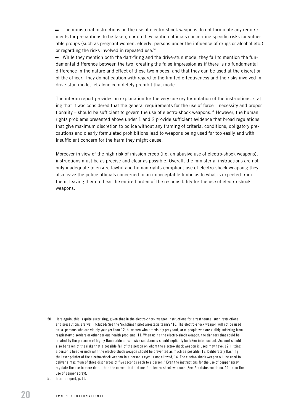– The ministerial instructions on the use of electro-shock weapons do not formulate any requirements for precautions to be taken, nor do they caution officials concerning specific risks for vulnerable groups (such as pregnant women, elderly, persons under the influence of drugs or alcohol etc.) or regarding the risks involved in repeated use.<sup>50</sup>

– While they mention both the dart-firing and the drive-stun mode, they fail to mention the fundamental difference between the two, creating the false impression as if there is no fundamental difference in the nature and effect of these two modes, and that they can be used at the discretion of the officer. They do not caution with regard to the limited effectiveness and the risks involved in drive-stun mode, let alone completely prohibit that mode.

The interim report provides an explanation for the very cursory formulation of the instructions, stating that it was considered that the general requirements for the use of force – necessity and proportionality – should be sufficient to govern the use of electro-shock weapons.<sup>51</sup> However, the human rights problems presented above under 1 and 2 provide sufficient evidence that broad regulations that give maximum discretion to police without any framing of criteria, conditions, obligatory precautions and clearly formulated prohibitions lead to weapons being used far too easily and with insufficient concern for the harm they might cause.

Moreover in view of the high risk of mission creep (i.e. an abusive use of electro-shock weapons), instructions must be as precise and clear as possible. Overall, the ministerial instructions are not only inadequate to ensure lawful and human rights-compliant use of electro-shock weapons; they also leave the police officials concerned in an unacceptable limbo as to what is expected from them, leaving them to bear the entire burden of the responsibility for the use of electro-shock weapons.

<sup>50</sup> Here again, this is quite surprising, given that in the electro-shock weapon instructions for arrest teams, such restrictions and precautions are well included: See the 'richtlijnen pilot arrestatie team': "10. The electro-shock weapon will not be used on: a. persons who are visibly younger than 12; b. women who are visibly pregnant, or c. people who are visibly suffering from respiratory disorders or other serious health problems; 11. When using the electro-shock weapon, the dangers that could be created by the presence of highly flammable or explosive substances should explicitly be taken into account. Account should also be taken of the risks that a possible fall of the person on whom the electro-shock weapon is used may have; 12. Hitting a person's head or neck with the electro-shock weapon should be prevented as much as possible; 13. Deliberately flashing the laser pointer of the electro-shock weapon in a person's eyes is not allowed; 14. The electro-shock weapon will be used to deliver a maximum of three discharges of five seconds each to a person." Even the instructions for the use of pepper spray regulate the use in more detail than the current instructions for electro-shock weapons (See: Ambtsinstructie no. 12a-c on the use of pepper spray).

<sup>51</sup> Interim report, p. 11.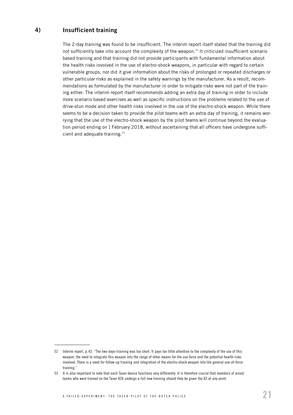### <span id="page-20-0"></span>4) Insufficient training

The 2-day training was found to be insufficient. The interim report itself stated that the training did not sufficiently take into account the complexity of the weapon.<sup>52</sup> It criticized insufficient scenario based training and that training did not provide participants with fundamental information about the health risks involved in the use of electro-shock weapons, in particular with regard to certain vulnerable groups, nor did it give information about the risks of prolonged or repeated discharges or other particular risks as explained in the safety warnings by the manufacturer. As a result, recommendations as formulated by the manufacturer in order to mitigate risks were not part of the training either. The interim report itself recommends adding an extra day of training in order to include more scenario based exercises as well as specific instructions on the problems related to the use of drive-stun mode and other health risks involved in the use of the electro-shock weapon. While there seems to be a decision taken to provide the pilot teams with an extra day of training, it remains worrying that the use of the electro-shock weapon by the pilot teams will continue beyond the evaluation period ending on 1 February 2018, without ascertaining that all officers have undergone sufficient and adequate training.<sup>53</sup>

<sup>52</sup> Interim report, p. 42: "The two-days-training was too short. It pays too little attention to the complexity of the use of this weapon, the need to integrate this weapon into the range of other means for the use force and the potential health risks involved. There is a need for follow-up training and integration of the electro-shock weapon into the general use-of-force training."

<sup>53</sup> It is also important to note that each Taser-device functions very differently. It is therefore crucial that members of arrest teams who were trained on the Taser X26 undergo a full new training should they be given the X2 at any point.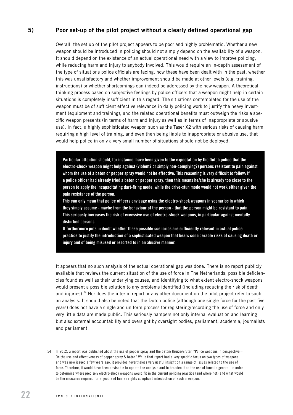#### <span id="page-21-0"></span>5) Poor set-up of the pilot project without a clearly defined operational gap

Overall, the set up of the pilot project appears to be poor and highly problematic. Whether a new weapon should be introduced in policing should not simply depend on the availability of a weapon. It should depend on the existence of an actual operational need with a view to improve policing, while reducing harm and injury to anybody involved. This would require an in-depth assessment of the type of situations police officials are facing, how these have been dealt with in the past, whether this was unsatisfactory and whether improvement should be made at other levels (e.g. training, instructions) or whether shortcomings can indeed be addressed by the new weapon. A theoretical thinking process based on subjective feelings by police officers that a weapon might help in certain situations is completely insufficient in this regard. The situations contemplated for the use of the weapon must be of sufficient effective relevance in daily policing work to justify the heavy investment (equipment and training), and the related operational benefits must outweigh the risks a specific weapon presents (in terms of harm and injury as well as in terms of inappropriate or abusive use). In fact, a highly sophisticated weapon such as the Taser X2 with serious risks of causing harm, requiring a high level of training, and even then being liable to inappropriate or abusive use, that would help police in only a very small number of situations should not be deployed.

Particular attention should, for instance, have been given to the expectation by the Dutch police that the electro-shock weapon might help against (violent? or simply non-complying?) persons resistant to pain against whom the use of a baton or pepper spray would not be effective. This reasoning is very difficult to follow: If a police officer had already tried a baton or pepper spray, then this means he/she is already too close to the person to apply the incapacitating dart-firing mode, while the drive-stun mode would not work either given the pain resistance of the person.

This can only mean that police officers envisage using the electro-shock weapons in scenarios in which they simply assume - maybe from the behaviour of the person - that the person might be resistant to pain. This seriously increases the risk of excessive use of electro-shock weapons, in particular against mentally disturbed persons.

It furthermore puts in doubt whether these possible scenarios are sufficiently relevant in actual police practice to justify the introduction of a sophisticated weapon that bears considerable risks of causing death or injury and of being misused or resorted to in an abusive manner.

It appears that no such analysis of the actual operational gap was done. There is no report publicly available that reviews the current situation of the use of force in The Netherlands, possible deficiencies found as well as their underlying causes, and identifying to what extent electro-shock weapons would present a possible solution to any problems identified (including reducing the risk of death and injuries).<sup>54</sup> Nor does the interim report or any other document on the pilot project refer to such an analysis. It should also be noted that the Dutch police (although one single force for the past five years) does not have a single and uniform process for registering/recording the use of force and only very little data are made public. This seriously hampers not only internal evaluation and learning but also external accountability and oversight by oversight bodies, parliament, academia, journalists and parliament.

<sup>54</sup> In 2012, a report was published about the use of pepper spray and the baton: Kruize/Gruter, "Police weapons in perspective – On the use and effectiveness of pepper spray & baton" While that report had a very specific focus on two types of weapons and was now issued a few years ago, it provides nevertheless very useful insight on a range of issues related to the use of force. Therefore, it would have been advisable to update the analysis and to broaden it on the use of force in general, in order to determine where precisely electro-shock weapons would fit in the current policing practice (and where not) and what would be the measures required for a good and human rights compliant introduction of such a weapon.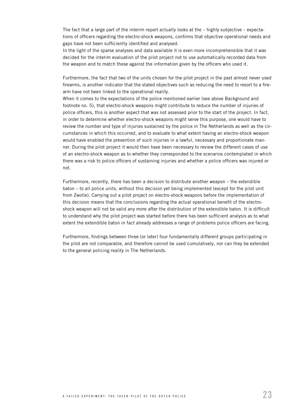The fact that a large part of the interim report actually looks at the – highly subjective – expectations of officers regarding the electro-shock weapons, confirms that objective operational needs and gaps have not been sufficiently identified and analysed.

In the light of the sparse analyses and data available it is even more incomprehensible that it was decided for the interim evaluation of the pilot project not to use automatically recorded data from the weapon and to match these against the information given by the officers who used it.

Furthermore, the fact that two of the units chosen for the pilot project in the past almost never used firearms, is another indicator that the stated objectives such as reducing the need to resort to a firearm have not been linked to the operational reality.

When it comes to the expectations of the police mentioned earlier (see above Background and footnote no. 5), that electro-shock weapons might contribute to reduce the number of injuries of police officers, this is another aspect that was not assessed prior to the start of the project. In fact, in order to determine whether electro-shock weapons might serve this purpose, one would have to review the number and type of injuries sustained by the police in The Netherlands as well as the circumstances in which this occurred, and to evaluate to what extent having an electro-shock weapon would have enabled the prevention of such injuries in a lawful, necessary and proportionate manner. During the pilot project it would then have been necessary to review the different cases of use of an electro-shock weapon as to whether they corresponded to the scenarios contemplated in which there was a risk to police officers of sustaining injuries and whether a police officers was injured or not.

Furthermore, recently, there has been a decision to distribute another weapon – the extendible baton – to all police units, without this decision yet being implemented (except for the pilot unit from Zwolle). Carrying out a pilot project on electro-shock weapons before the implementation of this decision means that the conclusions regarding the actual operational benefit of the electroshock weapon will not be valid any more after the distribution of the extendible baton. It is difficult to understand why the pilot project was started before there has been sufficient analysis as to what extent the extendible baton in fact already addresses a range of problems police officers are facing.

Furthermore, findings between three (or later) four fundamentally different groups participating in the pilot are not comparable, and therefore cannot be used cumulatively, nor can they be extended to the general policing reality in The Netherlands.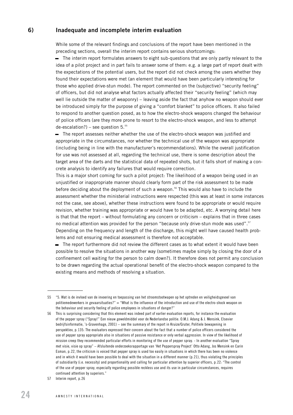#### <span id="page-23-0"></span>6) Inadequate and incomplete interim evaluation

While some of the relevant findings and conclusions of the report have been mentioned in the preceding sections, overall the interim report contains serious shortcomings:

– The interim report formulates answers to eight sub-questions that are only partly relevant to the idea of a pilot project and in part fails to answer some of them: e.g. a large part of report dealt with the expectations of the potential users, but the report did not check among the users whether they found their expectations were met (an element that would have been particularly interesting for those who applied drive-stun mode). The report commented on the (subjective) "security feeling" of officers, but did not analyse what factors actually affected their "security feeling" (which may well lie outside the matter of weaponry) – leaving aside the fact that anyhow no weapon should ever be introduced simply for the purpose of giving a "comfort blanket" to police officers. It also failed to respond to another question posed, as to how the electro-shock weapons changed the behaviour of police officers (are they more prone to resort to the electro-shock weapon, and less to attempt de-escalation?) – see question  $5.^{55}$ 

– The report assesses neither whether the use of the electro-shock weapon was justified and appropriate in the circumstances, nor whether the technical use of the weapon was appropriate (including being in line with the manufacturer's recommendations). While the overall justification for use was not assessed at all, regarding the technical use, there is some description about the target area of the darts and the statistical data of repeated shots, but it falls short of making a concrete analysis to identify any failures that would require correction.

This is a major short coming for such a pilot project: The likelihood of a weapon being used in an unjustified or inappropriate manner should clearly form part of the risk assessment to be made before deciding about the deployment of such a weapon.<sup>56</sup> This would also have to include the assessment whether the ministerial instructions were respected (this was at least in some instances not the case, see above), whether these instructions were found to be appropriate or would require revision, whether training was appropriate or would have to be adapted, etc. A worrying detail here is that that the report – without formulating any concern or criticism – explains that in three cases no medical attention was provided for the person "because only drive-stun mode was used".<sup>57</sup> Depending on the frequency and length of the discharge, this might well have caused health problems and not ensuring medical assessment is therefore not acceptable.

– The report furthermore did not review the different cases as to what extent it would have been possible to resolve the situations in another way (sometimes maybe simply by closing the door of a confinement cell waiting for the person to calm down?). It therefore does not permit any conclusion to be drawn regarding the actual operational benefit of the electro-shock weapon compared to the existing means and methods of resolving a situation.

<sup>55</sup> "5. Wat is de invloed van de invoering en toepassing van het stroomstootwapen op het optreden en veiligheidsgevoel van politiemedewerkers in gevaarsituaties?" = "What is the influence of the introduction and use of the electro-shock weapon on the behaviour and security feeling of police employees in situations of danger?"

<sup>56</sup> This is surprising considering that this element was indeed part of earlier evaluation reports, for instance the evaluation of the pepper spray ("Spray!" Een nieuw geweldmiddel voor de Nederlandse politie. O.M.J. Adang & J. Mensink, Elsevier bedrijfsinformatie, 's-Gravenhage, 2001) – see the summary of the report in Kruize/Gruter, Politiele bewapening in perspektiev, p. 135: The evaluators expressed their concern about the fact that a number of police officers considered the use of pepper spray appropriate also in situations of passive resistance or only verbal aggression. In view of the likelihood of mission creep they recommended particular efforts in monitoring of the use of pepper spray. - In another evaluation "Spray met visie, visie op spray" – Afsluitende onderzoeksrapportage van 'Het Pepperspray Project' Otto Adang, Jos Mensink en Carin Esman, p. 22, the criticism is voiced that pepper spray is used too easily in situations in which there has been no violence and in which it would have been possible to deal with the situation in a different manner (p. 21), thus violating the principles of subsidiarity (i.e. necessity) and proportionality and calling for particular attention by superior officers, p. 22: "The control of the use of pepper spray, especially regarding possible reckless use and its use in particular circumstances, requires continued attention by superiors."

<sup>57</sup> Interim report, p. 26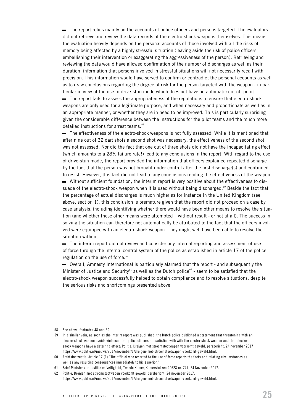– The report relies mainly on the accounts of police officers and persons targeted. The evaluators did not retrieve and review the data records of the electro-shock weapons themselves. This means the evaluation heavily depends on the personal accounts of those involved with all the risks of memory being affected by a highly stressful situation (leaving aside the risk of police officers embellishing their intervention or exaggerating the aggressiveness of the person). Retrieving and reviewing the data would have allowed confirmation of the number of discharges as well as their duration, information that persons involved in stressful situations will not necessarily recall with precision. This information would have served to confirm or contradict the personal accounts as well as to draw conclusions regarding the degree of risk for the person targeted with the weapon - in particular in view of the use in drive-stun mode which does not have an automatic cut off point.

– The report fails to assess the appropriateness of the regulations to ensure that electro-shock weapons are only used for a legitimate purpose, and when necessary and proportionate as well as in an appropriate manner, or whether they are in need to be improved. This is particularly surprising given the considerable difference between the instructions for the pilot teams and the much more detailed instructions for arrest teams.<sup>58</sup>

– The effectiveness of the electro-shock weapons is not fully assessed: While it is mentioned that after nine out of 32 dart shots a second shot was necessary, the effectiveness of the second shot was not assessed. Nor did the fact that one out of three shots did not have the incapacitating effect (which amounts to a 28% failure rate!) lead to any conclusions in the report. With regard to the use of drive-stun mode, the report provided the information that officers explained repeated discharge by the fact that the person was not brought under control after the first discharge(s) and continued to resist. However, this fact did not lead to any conclusions reading the effectiveness of the weapon. – Without sufficient foundation, the interim report is very positive about the effectiveness to dissuade of the electro-shock weapon when it is used without being discharged.<sup>59</sup> Beside the fact that the percentage of actual discharges is much higher as for instance in the United Kingdom (see above, section 1), this conclusion is premature given that the report did not proceed on a case by case analysis, including identifying whether there would have been other means to resolve the situation (and whether these other means were attempted – without result - or not at all). The success in solving the situation can therefore not automatically be attributed to the fact that the officers involved were equipped with an electro-shock weapon. They might well have been able to resolve the situation without.

– The interim report did not review and consider any internal reporting and assessment of use of force through the internal control system of the police as established in article 17 of the police regulation on the use of force.<sup>60</sup>

– Overall, Amnesty International is particularly alarmed that the report - and subsequently the Minister of Justice and Security<sup>61</sup> as well as the Dutch police<sup>62</sup> - seem to be satisfied that the electro-shock weapon successfully helped to obtain compliance and to resolve situations, despite the serious risks and shortcomings presented above.

<sup>58</sup> See above, footnotes 48 and 50.

<sup>59</sup> In a similar vein, as soon as the interim report was published, the Dutch police published a statement that threatening with an electro-shock weapon avoids violence, that police officers are satisfied with with the electro-shock weapon and that electroshock weapons have a deterring effect: Politie, Dreigen met stroomstootwapen voorkomt geweld, persbericht, 24 november 2017 https://www.politie.nl/nieuws/2017/november/1/dreigen-met-stroomstootwapen-voorkomt-geweld.html.

<sup>60</sup> Ambtsinstructie: Article 17 (1) "The official who resorted to the use of force reports the facts and relating circumstances as well as any resulting consequences immediately to his superior."

<sup>61</sup> Brief Minister van Justitie en Veiligheid, Tweede Kamer, Kamerstukken 29628 nr. 747, 24 November 2017.

<sup>62</sup> Politie, Dreigen met stroomstootwapen voorkomt geweld, persbericht, 24 november 2017. [https://www.politie.nl/nieuws/2017/november/1/dreigen-met-stroomstootwapen-voorkomt-geweld.html.](https://www.politie.nl/nieuws/2017/november/1/dreigen-met-stroomstootwapen-voorkomt-geweld.html)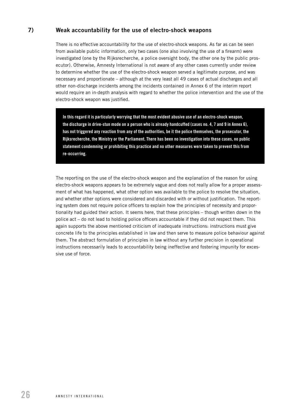#### <span id="page-25-0"></span>7) Weak accountability for the use of electro-shock weapons

There is no effective accountability for the use of electro-shock weapons. As far as can be seen from available public information, only two cases (one also involving the use of a firearm) were investigated (one by the Rijksrecherche, a police oversight body, the other one by the public prosecutor). Otherwise, Amnesty International is not aware of any other cases currently under review to determine whether the use of the electro-shock weapon served a legitimate purpose, and was necessary and proportionate – although at the very least all 49 cases of actual discharges and all other non-discharge incidents among the incidents contained in Annex 6 of the interim report would require an in-depth analysis with regard to whether the police intervention and the use of the electro-shock weapon was justified.

In this regard it is particularly worrying that the most evident abusive use of an electro-shock weapon, the discharge in drive-stun mode on a person who is already handcuffed (cases no. 4, 7 and 9 in Annex 6), has not triggered any reaction from any of the authorities, be it the police themselves, the prosecutor, the Rijksrecherche, the Ministry or the Parliament. There has been no investigation into these cases, no public statement condemning or prohibiting this practice and no other measures were taken to prevent this from re-occurring.

The reporting on the use of the electro-shock weapon and the explanation of the reason for using electro-shock weapons appears to be extremely vague and does not really allow for a proper assessment of what has happened, what other option was available to the police to resolve the situation, and whether other options were considered and discarded with or without justification. The reporting system does not require police officers to explain how the principles of necessity and proportionality had guided their action. It seems here, that these principles – though written down in the police act – do not lead to holding police officers accountable if they did not respect them. This again supports the above mentioned criticism of inadequate instructions: instructions must give concrete life to the principles established in law and then serve to measure police behaviour against them. The abstract formulation of principles in law without any further precision in operational instructions necessarily leads to accountability being ineffective and fostering impunity for excessive use of force.